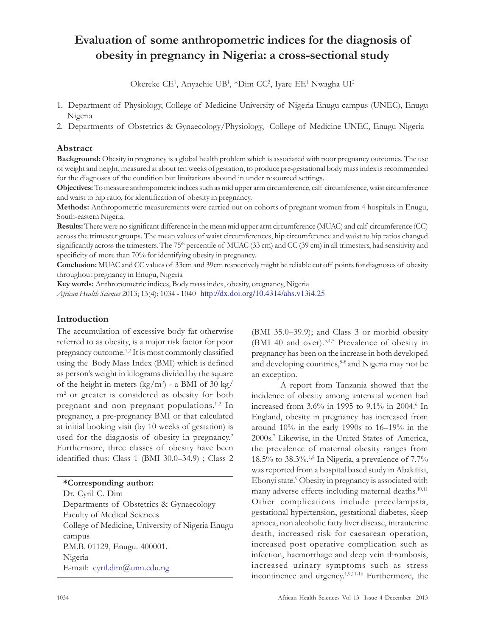# Evaluation of some anthropometric indices for the diagnosis of obesity in pregnancy in Nigeria: a cross-sectional study

Okereke CE<sup>1</sup>, Anyaehie UB<sup>1</sup>, \*Dim CC<sup>2</sup>, Iyare EE<sup>1</sup> Nwagha UI<sup>2</sup>

- 1. Department of Physiology, College of Medicine University of Nigeria Enugu campus (UNEC), Enugu Nigeria
- 2. Departments of Obstetrics & Gynaecology/Physiology, College of Medicine UNEC, Enugu Nigeria

# Abstract

Background: Obesity in pregnancy is a global health problem which is associated with poor pregnancy outcomes. The use of weight and height, measured at about ten weeks of gestation, to produce pre-gestational body mass index is recommended for the diagnoses of the condition but limitations abound in under resourced settings.

Objectives: To measure anthropometric indices such as mid upper arm circumference, calf circumference, waist circumference and waist to hip ratio, for identification of obesity in pregnancy.

Methods: Anthropometric measurements were carried out on cohorts of pregnant women from 4 hospitals in Enugu, South-eastern Nigeria.

Results: There were no significant difference in the mean mid upper arm circumference (MUAC) and calf circumference (CC) across the trimester groups. The mean values of waist circumferences, hip circumference and waist to hip ratios changed significantly across the trimesters. The 75<sup>th</sup> percentile of MUAC (33 cm) and CC (39 cm) in all trimesters, had sensitivity and specificity of more than 70% for identifying obesity in pregnancy.

Conclusion: MUAC and CC values of 33cm and 39cm respectively might be reliable cut off points for diagnoses of obesity throughout pregnancy in Enugu, Nigeria

Key words: Anthropometric indices, Body mass index, obesity, oregnancy, Nigeria African Health Sciences 2013; 13(4): 1034 - 1040 http://dx.doi.org/10.4314/ahs.v13i4.25

# Introduction

The accumulation of excessive body fat otherwise referred to as obesity, is a major risk factor for poor pregnancy outcome.1,2 It is most commonly classified using the Body Mass Index (BMI) which is defined as person's weight in kilograms divided by the square of the height in meters (kg/m<sup>2</sup> ) - a BMI of 30 kg/ m<sup>2</sup> or greater is considered as obesity for both pregnant and non pregnant populations. 1,2 In pregnancy, a pre-pregnancy BMI or that calculated at initial booking visit (by 10 weeks of gestation) is used for the diagnosis of obesity in pregnancy.<sup>2</sup> Furthermore, three classes of obesity have been identified thus: Class 1 (BMI 30.0–34.9) ; Class 2

## \*Corresponding author:

Dr. Cyril C. Dim Departments of Obstetrics & Gynaecology Faculty of Medical Sciences College of Medicine, University of Nigeria Enugu campus P.M.B. 01129, Enugu. 400001. Nigeria E-mail: cyril.dim@unn.edu.ng

(BMI 35.0–39.9); and Class 3 or morbid obesity (BMI 40 and over).3,4,5 Prevalence of obesity in pregnancy has been on the increase in both developed and developing countries,<sup>5-8</sup> and Nigeria may not be an exception.

A report from Tanzania showed that the incidence of obesity among antenatal women had increased from 3.6% in 1995 to 9.1% in 2004.6. In England, obesity in pregnancy has increased from around 10% in the early 1990s to 16–19% in the 2000s. 7 Likewise, in the United States of America, the prevalence of maternal obesity ranges from 18.5% to 38.3%.1,8 In Nigeria, a prevalence of 7.7% was reported from a hospital based study in Abakiliki, Ebonyi state.<sup>9</sup> Obesity in pregnancy is associated with many adverse effects including maternal deaths. 10,11 Other complications include preeclampsia, gestational hypertension, gestational diabetes, sleep apnoea, non alcoholic fatty liver disease, intrauterine death, increased risk for caesarean operation, increased post operative complication such as infection, haemorrhage and deep vein thrombosis, increased urinary symptoms such as stress incontinence and urgency.<sup>1,9,11-16</sup> Furthermore, the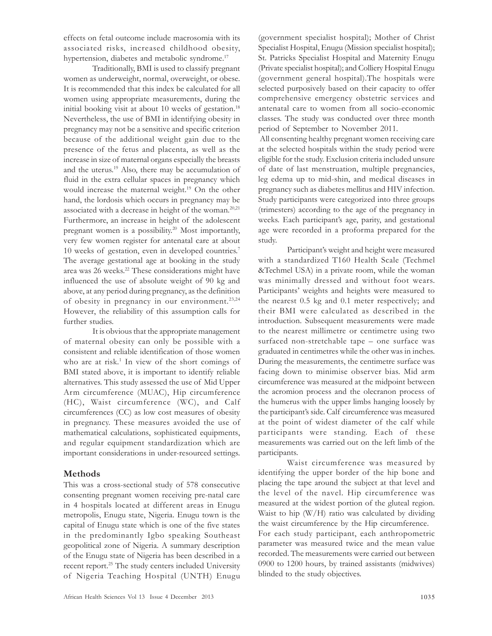effects on fetal outcome include macrosomia with its associated risks, increased childhood obesity, hypertension, diabetes and metabolic syndrome.<sup>17</sup>

Traditionally, BMI is used to classify pregnant women as underweight, normal, overweight, or obese. It is recommended that this index be calculated for all women using appropriate measurements, during the initial booking visit at about 10 weeks of gestation.<sup>18</sup> Nevertheless, the use of BMI in identifying obesity in pregnancy may not be a sensitive and specific criterion because of the additional weight gain due to the presence of the fetus and placenta, as well as the increase in size of maternal organs especially the breasts and the uterus. <sup>19</sup> Also, there may be accumulation of fluid in the extra cellular spaces in pregnancy which would increase the maternal weight.<sup>19</sup> On the other hand, the lordosis which occurs in pregnancy may be associated with a decrease in height of the woman.<sup>20,21</sup> Furthermore, an increase in height of the adolescent pregnant women is a possibility. <sup>20</sup> Most importantly, very few women register for antenatal care at about 10 weeks of gestation, even in developed countries. 7 The average gestational age at booking in the study area was 26 weeks. <sup>22</sup> These considerations might have influenced the use of absolute weight of 90 kg and above, at any period during pregnancy, as the definition of obesity in pregnancy in our environment.23,24 However, the reliability of this assumption calls for further studies.

It is obvious that the appropriate management of maternal obesity can only be possible with a consistent and reliable identification of those women who are at risk.<sup>1</sup> In view of the short comings of BMI stated above, it is important to identify reliable alternatives. This study assessed the use of Mid Upper Arm circumference (MUAC), Hip circumference (HC), Waist circumference (WC), and Calf circumferences (CC) as low cost measures of obesity in pregnancy. These measures avoided the use of mathematical calculations, sophisticated equipments, and regular equipment standardization which are important considerations in under-resourced settings.

## Methods

This was a cross-sectional study of 578 consecutive consenting pregnant women receiving pre-natal care in 4 hospitals located at different areas in Enugu metropolis, Enugu state, Nigeria. Enugu town is the capital of Enugu state which is one of the five states in the predominantly Igbo speaking Southeast geopolitical zone of Nigeria. A summary description of the Enugu state of Nigeria has been described in a recent report.<sup>25</sup> The study centers included University of Nigeria Teaching Hospital (UNTH) Enugu (government specialist hospital); Mother of Christ Specialist Hospital, Enugu (Mission specialist hospital); St. Patricks Specialist Hospital and Maternity Enugu (Private specialist hospital); and Colliery Hospital Enugu (government general hospital).The hospitals were selected purposively based on their capacity to offer comprehensive emergency obstetric services and antenatal care to women from all socio-economic classes. The study was conducted over three month period of September to November 2011.

 All consenting healthy pregnant women receiving care at the selected hospitals within the study period were eligible for the study. Exclusion criteria included unsure of date of last menstruation, multiple pregnancies, leg edema up to mid-shin, and medical diseases in pregnancy such as diabetes mellitus and HIV infection. Study participants were categorized into three groups (trimesters) according to the age of the pregnancy in weeks. Each participant's age, parity, and gestational age were recorded in a proforma prepared for the study.

Participant's weight and height were measured with a standardized T160 Health Scale (Techmel &Techmel USA) in a private room, while the woman was minimally dressed and without foot wears. Participants' weights and heights were measured to the nearest 0.5 kg and 0.1 meter respectively; and their BMI were calculated as described in the introduction. Subsequent measurements were made to the nearest millimetre or centimetre using two surfaced non-stretchable tape – one surface was graduated in centimetres while the other was in inches. During the measurements, the centimetre surface was facing down to minimise observer bias. Mid arm circumference was measured at the midpoint between the acromion process and the olecranon process of the humerus with the upper limbs hanging loosely by the participant's side. Calf circumference was measured at the point of widest diameter of the calf while participants were standing. Each of these measurements was carried out on the left limb of the participants.

Waist circumference was measured by identifying the upper border of the hip bone and placing the tape around the subject at that level and the level of the navel. Hip circumference was measured at the widest portion of the gluteal region. Waist to hip (W/H) ratio was calculated by dividing the waist circumference by the Hip circumference. For each study participant, each anthropometric parameter was measured twice and the mean value recorded. The measurements were carried out between 0900 to 1200 hours, by trained assistants (midwives) blinded to the study objectives.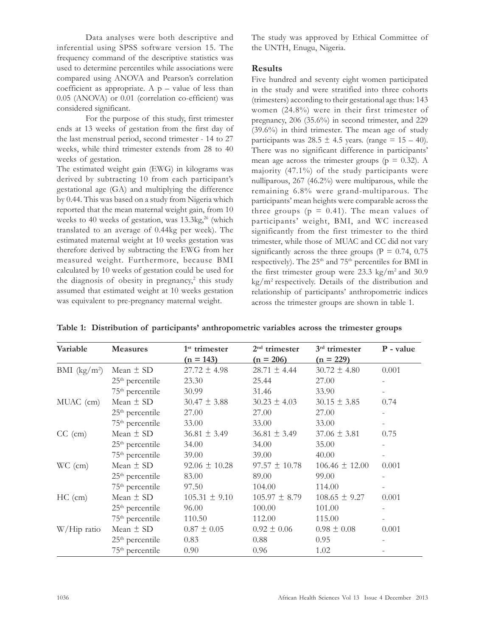Data analyses were both descriptive and inferential using SPSS software version 15. The frequency command of the descriptive statistics was used to determine percentiles while associations were compared using ANOVA and Pearson's correlation coefficient as appropriate. A  $p$  – value of less than 0.05 (ANOVA) or 0.01 (correlation co-efficient) was considered significant.

For the purpose of this study, first trimester ends at 13 weeks of gestation from the first day of the last menstrual period, second trimester - 14 to 27 weeks, while third trimester extends from 28 to 40 weeks of gestation.

The estimated weight gain (EWG) in kilograms was derived by subtracting 10 from each participant's gestational age (GA) and multiplying the difference by 0.44. This was based on a study from Nigeria which reported that the mean maternal weight gain, from 10 weeks to 40 weeks of gestation, was 13.3kg,<sup>26</sup> (which translated to an average of 0.44kg per week). The estimated maternal weight at 10 weeks gestation was therefore derived by subtracting the EWG from her measured weight. Furthermore, because BMI calculated by 10 weeks of gestation could be used for the diagnosis of obesity in pregnancy,<sup>2</sup> this study assumed that estimated weight at 10 weeks gestation was equivalent to pre-pregnancy maternal weight.

The study was approved by Ethical Committee of the UNTH, Enugu, Nigeria.

### Results

Five hundred and seventy eight women participated in the study and were stratified into three cohorts (trimesters) according to their gestational age thus: 143 women (24.8%) were in their first trimester of pregnancy, 206 (35.6%) in second trimester, and 229 (39.6%) in third trimester. The mean age of study participants was  $28.5 \pm 4.5$  years. (range =  $15 - 40$ ). There was no significant difference in participants' mean age across the trimester groups ( $p = 0.32$ ). A majority (47.1%) of the study participants were nulliparous, 267 (46.2%) were multiparous, while the remaining 6.8% were grand-multiparous. The participants' mean heights were comparable across the three groups ( $p = 0.41$ ). The mean values of participants' weight, BMI, and WC increased significantly from the first trimester to the third trimester, while those of MUAC and CC did not vary significantly across the three groups ( $P = 0.74$ , 0.75 respectively). The 25<sup>th</sup> and 75<sup>th</sup> percentiles for BMI in the first trimester group were  $23.3 \text{ kg/m}^2$  and  $30.9$  $kg/m^2$  respectively. Details of the distribution and relationship of participants' anthropometric indices across the trimester groups are shown in table 1.

|  | Table 1: Distribution of participants' anthropometric variables across the trimester groups |
|--|---------------------------------------------------------------------------------------------|
|  |                                                                                             |

| Variable       | <b>Measures</b>             | $1st$ trimester   | $2nd$ trimester   | $3rd$ trimester    | P - value                |
|----------------|-----------------------------|-------------------|-------------------|--------------------|--------------------------|
|                |                             | $(n = 143)$       | $(n = 206)$       | $(n = 229)$        |                          |
| BMI $(kg/m^2)$ | Mean $\pm$ SD               | $27.72 \pm 4.98$  | $28.71 \pm 4.44$  | $30.72 \pm 4.80$   | 0.001                    |
|                | $25th$ percentile           | 23.30             | 25.44             | 27.00              |                          |
|                | $75th$ percentile           | 30.99             | 31.46             | 33.90              |                          |
| MUAC (cm)      | Mean $\pm$ SD               | $30.47 \pm 3.88$  | $30.23 \pm 4.03$  | $30.15 \pm 3.85$   | 0.74                     |
|                | $25th$ percentile           | 27.00             | 27.00             | 27.00              |                          |
|                | $75th$ percentile           | 33.00             | 33.00             | 33.00              | $\overline{\phantom{0}}$ |
| $CC$ (cm)      | Mean $\pm$ SD               | $36.81 \pm 3.49$  | $36.81 \pm 3.49$  | $37.06 \pm 3.81$   | 0.75                     |
|                | $25th$ percentile           | 34.00             | 34.00             | 35.00              |                          |
|                | $75th$ percentile           | 39.00             | 39.00             | 40.00              |                          |
| $WC$ (cm)      | Mean $\pm$ SD               | $92.06 \pm 10.28$ | $97.57 \pm 10.78$ | $106.46 \pm 12.00$ | 0.001                    |
|                | $25th$ percentile           | 83.00             | 89.00             | 99.00              |                          |
|                | $75th$ percentile           | 97.50             | 104.00            | 114.00             |                          |
| $HC$ (cm)      | Mean $\pm$ SD               | $105.31 \pm 9.10$ | $105.97 \pm 8.79$ | $108.65 \pm 9.27$  | 0.001                    |
|                | $25th$ percentile           | 96.00             | 100.00            | 101.00             |                          |
|                | 75 <sup>th</sup> percentile | 110.50            | 112.00            | 115.00             |                          |
| W/Hip ratio    | Mean $\pm$ SD               | $0.87 \pm 0.05$   | $0.92 \pm 0.06$   | $0.98 \pm 0.08$    | 0.001                    |
|                | $25th$ percentile           | 0.83              | 0.88              | 0.95               |                          |
|                | $75th$ percentile           | 0.90              | 0.96              | 1.02               |                          |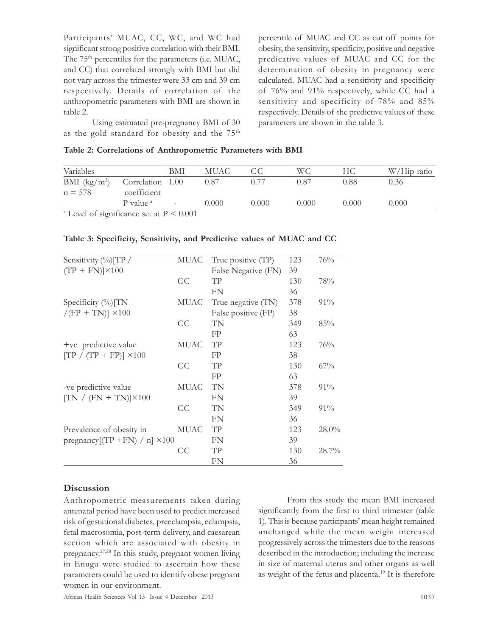Participants' MUAC, CC, WC, and WC had significant strong positive correlation with their BMI. The 75<sup>th</sup> percentiles for the parameters (i.e. MUAC, and CC) that correlated strongly with BMI but did not vary across the trimester were 33 cm and 39 cm respectively. Details of correlation of the anthropometric parameters with BMI are shown in table 2.

Using estimated pre-pregnancy BMI of 30 as the gold standard for obesity and the 75<sup>th</sup> percentile of MUAC and CC as cut off points for obesity, the sensitivity, specificity, positive and negative predicative values of MUAC and CC for the determination of obesity in pregnancy were calculated. MUAC had a sensitivity and specificity of 76% and 91% respectively, while CC had a sensitivity and specificity of 78% and 85% respectively. Details of the predictive values of these parameters are shown in the table 3.

|                          |                                                                                                                                                                                                                                                                                                                                                                                                                                                                                            |       |       | HС    | W/Hip ratio |
|--------------------------|--------------------------------------------------------------------------------------------------------------------------------------------------------------------------------------------------------------------------------------------------------------------------------------------------------------------------------------------------------------------------------------------------------------------------------------------------------------------------------------------|-------|-------|-------|-------------|
| Correlation 1.00         | 0.87                                                                                                                                                                                                                                                                                                                                                                                                                                                                                       | 0.77  | 0.87  | 0.88  | 0.36        |
|                          |                                                                                                                                                                                                                                                                                                                                                                                                                                                                                            |       |       |       |             |
| $\overline{\phantom{a}}$ | 0.000                                                                                                                                                                                                                                                                                                                                                                                                                                                                                      | 0.000 | 0.000 | 0.000 | 0.000       |
|                          | $\blacksquare$ $\blacksquare$ $\blacksquare$ $\blacksquare$ $\blacksquare$ $\blacksquare$ $\blacksquare$ $\blacksquare$ $\blacksquare$ $\blacksquare$ $\blacksquare$ $\blacksquare$ $\blacksquare$ $\blacksquare$ $\blacksquare$ $\blacksquare$ $\blacksquare$ $\blacksquare$ $\blacksquare$ $\blacksquare$ $\blacksquare$ $\blacksquare$ $\blacksquare$ $\blacksquare$ $\blacksquare$ $\blacksquare$ $\blacksquare$ $\blacksquare$ $\blacksquare$ $\blacksquare$ $\blacksquare$ $\blacks$ |       |       |       |             |

a Level of significance set at  $P \leq 0.001$ 

| Sensitivity (%) [TP /                      | <b>MUAC</b> | True positive (TP)  | 123 | 76%      |
|--------------------------------------------|-------------|---------------------|-----|----------|
| $(TP + FN)$  ×100                          |             | False Negative (FN) | 39  |          |
|                                            | CC          | TP                  | 130 | 78%      |
|                                            |             | FN                  | 36  |          |
| Specificity $(\%)$ TN                      | MUAC        | True negative (TN)  | 378 | 91%      |
| $/$ (FP + TN)] $\times$ 100                |             | False positive (FP) | 38  |          |
|                                            | CC          | TN                  | 349 | 85%      |
|                                            |             | FP                  | 63  |          |
| +ve predictive value                       | MUAC        | TP                  | 123 | 76%      |
| $[TP / (TP + FP)] \times 100$              |             | FP                  | 38  |          |
|                                            | CC          | TP                  | 130 | $67\%$   |
|                                            |             | FP                  | 63  |          |
| -ve predictive value                       | MUAC        | TN                  | 378 | $91\%$   |
| $\text{TN} / \text{ (FN + TN)} \times 100$ |             | <b>FN</b>           | 39  |          |
|                                            | CC          | TN                  | 349 | $91\%$   |
|                                            |             | <b>FN</b>           | 36  |          |
| Prevalence of obesity in                   | MUAC        | TP                  | 123 | $28.0\%$ |
| pregnancy[(TP +FN) / n] $\times$ 100       |             | <b>FN</b>           | 39  |          |
|                                            | CC          | TP                  | 130 | $28.7\%$ |
|                                            |             | FN                  | 36  |          |

#### Table 3: Specificity, Sensitivity, and Predictive values of MUAC and CC

# Discussion

Anthropometric measurements taken during antenatal period have been used to predict increased risk of gestational diabetes, preeclampsia, eclampsia, fetal macrosomia, post-term delivery, and caesarean section which are associated with obesity in pregnancy.27,28 In this study, pregnant women living in Enugu were studied to ascertain how these parameters could be used to identify obese pregnant women in our environment.

From this study the mean BMI increased significantly from the first to third trimester (table 1). This is because participants' mean height remained unchanged while the mean weight increased progressively across the trimesters due to the reasons described in the introduction; including the increase in size of maternal uterus and other organs as well as weight of the fetus and placenta.<sup>19</sup> It is therefore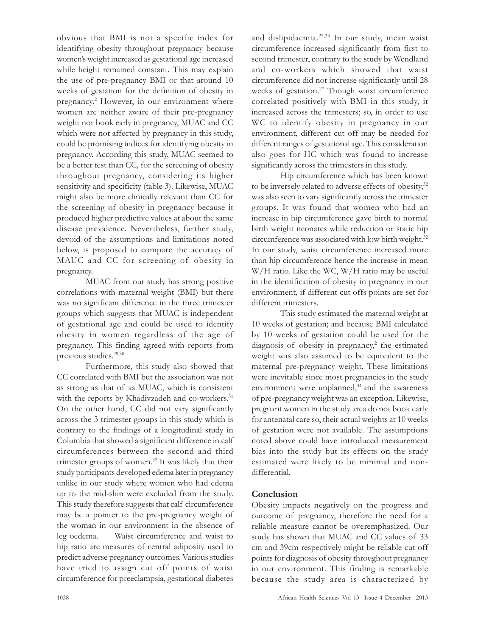obvious that BMI is not a specific index for identifying obesity throughout pregnancy because women's weight increased as gestational age increased while height remained constant. This may explain the use of pre-pregnancy BMI or that around 10 weeks of gestation for the definition of obesity in pregnancy.<sup>2</sup> However, in our environment where women are neither aware of their pre-pregnancy weight nor book early in pregnancy, MUAC and CC which were not affected by pregnancy in this study, could be promising indices for identifying obesity in pregnancy. According this study, MUAC seemed to be a better test than CC, for the screening of obesity throughout pregnancy, considering its higher sensitivity and specificity (table 3). Likewise, MUAC might also be more clinically relevant than CC for the screening of obesity in pregnancy because it produced higher predictive values at about the same disease prevalence. Nevertheless, further study, devoid of the assumptions and limitations noted below, is proposed to compare the accuracy of MAUC and CC for screening of obesity in pregnancy.

MUAC from our study has strong positive correlations with maternal weight (BMI) but there was no significant difference in the three trimester groups which suggests that MUAC is independent of gestational age and could be used to identify obesity in women regardless of the age of pregnancy. This finding agreed with reports from previous studies. 29,30

Furthermore, this study also showed that CC correlated with BMI but the association was not as strong as that of as MUAC, which is consistent with the reports by Khadivzadeh and co-workers.<sup>31</sup> On the other hand, CC did not vary significantly across the 3 trimester groups in this study which is contrary to the findings of a longitudinal study in Columbia that showed a significant difference in calf circumferences between the second and third trimester groups of women.<sup>32</sup> It was likely that their study participants developed edema later in pregnancy unlike in our study where women who had edema up to the mid-shin were excluded from the study. This study therefore suggests that calf circumference may be a pointer to the pre-pregnancy weight of the woman in our environment in the absence of leg oedema. Waist circumference and waist to hip ratio are measures of central adiposity used to predict adverse pregnancy outcomes. Various studies have tried to assign cut off points of waist circumference for preeclampsia, gestational diabetes

and dislipidaemia.27,33 In our study, mean waist circumference increased significantly from first to second trimester, contrary to the study by Wendland and co-workers which showed that waist circumference did not increase significantly until 28 weeks of gestation.<sup>27</sup> Though waist circumference correlated positively with BMI in this study, it increased across the trimesters; so, in order to use WC to identify obesity in pregnancy in our environment, different cut off may be needed for different ranges of gestational age. This consideration also goes for HC which was found to increase significantly across the trimesters in this study.

Hip circumference which has been known to be inversely related to adverse effects of obesity,<sup>32</sup> was also seen to vary significantly across the trimester groups. It was found that women who had an increase in hip circumference gave birth to normal birth weight neonates while reduction or static hip circumference was associated with low birth weight.<sup>32</sup> In our study, waist circumference increased more than hip circumference hence the increase in mean W/H ratio. Like the WC, W/H ratio may be useful in the identification of obesity in pregnancy in our environment, if different cut offs points are set for different trimesters.

This study estimated the maternal weight at 10 weeks of gestation; and because BMI calculated by 10 weeks of gestation could be used for the diagnosis of obesity in pregnancy,<sup>2</sup> the estimated weight was also assumed to be equivalent to the maternal pre-pregnancy weight. These limitations were inevitable since most pregnancies in the study environment were unplanned,<sup>34</sup> and the awareness of pre-pregnancy weight was an exception. Likewise, pregnant women in the study area do not book early for antenatal care so, their actual weights at 10 weeks of gestation were not available. The assumptions noted above could have introduced measurement bias into the study but its effects on the study estimated were likely to be minimal and nondifferential.

## Conclusion

Obesity impacts negatively on the progress and outcome of pregnancy, therefore the need for a reliable measure cannot be overemphasized. Our study has shown that MUAC and CC values of 33 cm and 39cm respectively might be reliable cut off points for diagnosis of obesity throughout pregnancy in our environment. This finding is remarkable because the study area is characterized by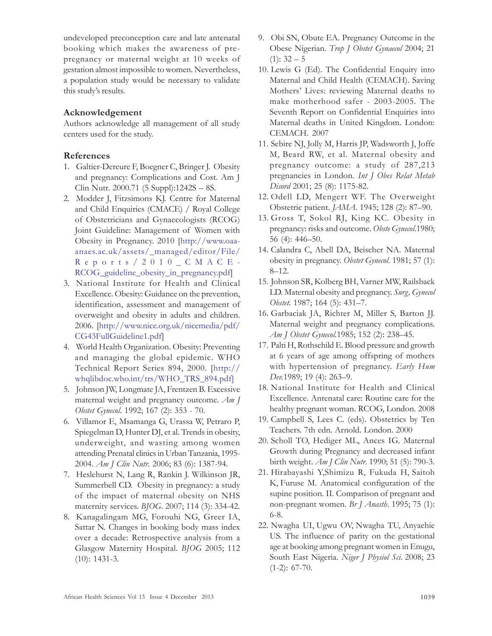undeveloped preconception care and late antenatal booking which makes the awareness of prepregnancy or maternal weight at 10 weeks of gestation almost impossible to women. Nevertheless, a population study would be necessary to validate this study's results.

# Acknowledgement

Authors acknowledge all management of all study centers used for the study.

# References

- 1. Galtier-Dereure F, Boegner C, Bringer J. Obesity and pregnancy: Complications and Cost. Am J Clin Nutr. 2000.71 (5 Suppl):1242S – 8S.
- 2. Modder J, Fitzsimons KJ. Centre for Maternal and Child Enquiries (CMACE) / Royal College of Obstetricians and Gynaecologists (RCOG) Joint Guideline: Management of Women with Obesity in Pregnancy. 2010 [http://www.oaaanaes.ac.uk/assets/\_managed/editor/File/ R e por ts/2010\_CMA CE-RCOG\_guideline\_obesity\_in\_pregnancy.pdf]
- 3. National Institute for Health and Clinical Excellence. Obesity: Guidance on the prevention, identification, assessment and management of overweight and obesity in adults and children. 2006. [http://www.nice.org.uk/nicemedia/pdf/ CG43FullGuideline1.pdf]
- 4. World Health Organization. Obesity: Preventing and managing the global epidemic. WHO Technical Report Series 894, 2000. [http:// whqlibdoc.who.int/trs/WHO\_TRS\_894.pdf]
- 5. Johnson JW, Longmate JA, Frentzen B. Excessive maternal weight and pregnancy outcome.  $Am I$ Obstet Gynecol. 1992; 167 (2): 353 - 70.
- 6. Villamor E, Msamanga G, Urassa W, Petraro P, Spiegelman D, Hunter DJ, et al. Trends in obesity, underweight, and wasting among women attending Prenatal clinics in Urban Tanzania, 1995- 2004. Am J Clin Nutr. 2006; 83 (6): 1387-94.
- 7. Heslehurst N, Lang R, Rankin J. Wilkinson JR, Summerbell CD. Obesity in pregnancy: a study of the impact of maternal obesity on NHS maternity services. BJOG. 2007; 114 (3): 334-42.
- 8. Kanagalingam MG, Forouhi NG, Greer IA, Sattar N. Changes in booking body mass index over a decade: Retrospective analysis from a Glasgow Maternity Hospital. BJOG 2005; 112 (10): 1431-3.
- 9. Obi SN, Obute EA. Pregnancy Outcome in the Obese Nigerian. Trop J Obstet Gynaecol 2004; 21  $(1): 32 - 5$
- 10. Lewis G (Ed). The Confidential Enquiry into Maternal and Child Health (CEMACH). Saving Mothers' Lives: reviewing Maternal deaths to make motherhood safer - 2003-2005. The Seventh Report on Confidential Enquiries into Maternal deaths in United Kingdom. London: CEMACH. 2007
- 11. Sebire NJ, Jolly M, Harris JP, Wadsworth J, Joffe M, Beard RW, et al. Maternal obesity and pregnancy outcome: a study of 287,213 pregnancies in London. Int J Obes Relat Metab Disord 2001; 25 (8): 1175-82.
- 12. Odell LD, Mengert WF. The Overweight Obstetric patient. JAMA. 1945; 128 (2): 87–90.
- 13. Gross T, Sokol RJ, King KC. Obesity in pregnancy: risks and outcome. Obste Gynecol.1980; 56 (4): 446–50.
- 14. Calandra C, Abell DA, Beischer NA. Maternal obesity in pregnancy. Obstet Gynecol. 1981; 57 (1): 8–12.
- 15. Johnson SR, Kolberg BH, Varner MW, Railsback LD. Maternal obesity and pregnancy. Surg, Gynecol Obstet. 1987; 164 (5): 431–7.
- 16. Garbaciak JA, Richter M, Miller S, Barton JJ. Maternal weight and pregnancy complications. Am J Obstet Gynecol.1985; 152 (2): 238-45.
- 17. Palti H, Rothschild E. Blood pressure and growth at 6 years of age among offspring of mothers with hypertension of pregnancy. Early Hum Dev.1989; 19 (4): 263–9.
- 18. National Institute for Health and Clinical Excellence. Antenatal care: Routine care for the healthy pregnant woman. RCOG, London. 2008
- 19. Campbell S, Lees C. (eds). Obstetrics by Ten Teachers. 7th edn. Arnold. London. 2000
- 20. Scholl TO, Hediger ML, Ances IG. Maternal Growth during Pregnancy and decreased infant birth weight. *Am J Clin Nutr*. 1990; 51 (5): 790-3.
- 21. Hirabayashi Y,Shimizu R, Fukuda H, Saitoh K, Furuse M. Anatomical configuration of the supine position. II. Comparison of pregnant and non-pregnant women. Br J Anasth. 1995; 75 (1): 6-8.
- 22. Nwagha UI, Ugwu OV, Nwagha TU, Anyaehie US. The influence of parity on the gestational age at booking among pregnant women in Enugu, South East Nigeria. Niger J Physiol Sci. 2008; 23  $(1-2)$ : 67-70.